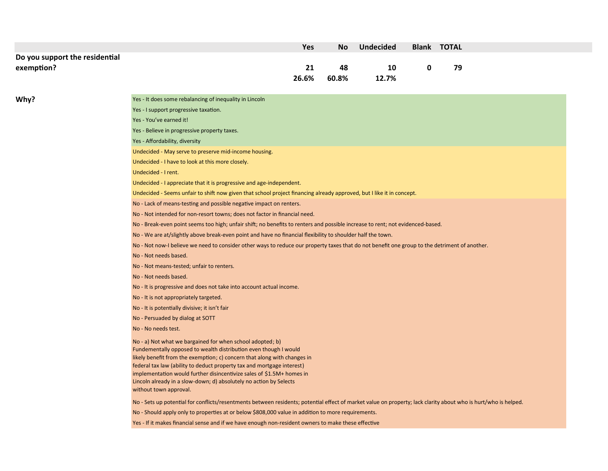|                                |                                                                                                                                                                 | Yes   | <b>No</b> | <b>Undecided</b> |             | <b>Blank TOTAL</b> |  |  |
|--------------------------------|-----------------------------------------------------------------------------------------------------------------------------------------------------------------|-------|-----------|------------------|-------------|--------------------|--|--|
| Do you support the residential |                                                                                                                                                                 |       |           |                  |             |                    |  |  |
| exemption?                     |                                                                                                                                                                 | 21    | 48        | 10               | $\mathbf 0$ | 79                 |  |  |
|                                |                                                                                                                                                                 | 26.6% | 60.8%     | 12.7%            |             |                    |  |  |
|                                |                                                                                                                                                                 |       |           |                  |             |                    |  |  |
| Why?                           | Yes - It does some rebalancing of inequality in Lincoln                                                                                                         |       |           |                  |             |                    |  |  |
|                                | Yes - I support progressive taxation.                                                                                                                           |       |           |                  |             |                    |  |  |
|                                | Yes - You've earned it!                                                                                                                                         |       |           |                  |             |                    |  |  |
|                                | Yes - Believe in progressive property taxes.                                                                                                                    |       |           |                  |             |                    |  |  |
|                                | Yes - Affordability, diversity                                                                                                                                  |       |           |                  |             |                    |  |  |
|                                | Undecided - May serve to preserve mid-income housing.                                                                                                           |       |           |                  |             |                    |  |  |
|                                | Undecided - I have to look at this more closely.                                                                                                                |       |           |                  |             |                    |  |  |
|                                | Undecided - I rent.                                                                                                                                             |       |           |                  |             |                    |  |  |
|                                | Undecided - I appreciate that it is progressive and age-independent.                                                                                            |       |           |                  |             |                    |  |  |
|                                | Undecided - Seems unfair to shift now given that school project financing already approved, but I like it in concept.                                           |       |           |                  |             |                    |  |  |
|                                | No - Lack of means-testing and possible negative impact on renters.                                                                                             |       |           |                  |             |                    |  |  |
|                                | No - Not intended for non-resort towns; does not factor in financial need.                                                                                      |       |           |                  |             |                    |  |  |
|                                | No - Break-even point seems too high; unfair shift; no benefits to renters and possible increase to rent; not evidenced-based.                                  |       |           |                  |             |                    |  |  |
|                                | No - We are at/slightly above break-even point and have no financial flexibility to shoulder half the town.                                                     |       |           |                  |             |                    |  |  |
|                                | No - Not now-I believe we need to consider other ways to reduce our property taxes that do not benefit one group to the detriment of another.                   |       |           |                  |             |                    |  |  |
|                                | No - Not needs based.                                                                                                                                           |       |           |                  |             |                    |  |  |
|                                | No - Not means-tested; unfair to renters.                                                                                                                       |       |           |                  |             |                    |  |  |
|                                | No - Not needs based.                                                                                                                                           |       |           |                  |             |                    |  |  |
|                                | No - It is progressive and does not take into account actual income.                                                                                            |       |           |                  |             |                    |  |  |
|                                | No - It is not appropriately targeted.                                                                                                                          |       |           |                  |             |                    |  |  |
|                                | No - It is potentially divisive; it isn't fair                                                                                                                  |       |           |                  |             |                    |  |  |
|                                | No - Persuaded by dialog at SOTT                                                                                                                                |       |           |                  |             |                    |  |  |
|                                | No - No needs test.                                                                                                                                             |       |           |                  |             |                    |  |  |
|                                | No - a) Not what we bargained for when school adopted; b)                                                                                                       |       |           |                  |             |                    |  |  |
|                                | Fundementally opposed to wealth distribution even though I would                                                                                                |       |           |                  |             |                    |  |  |
|                                | likely benefit from the exemption; c) concern that along with changes in<br>federal tax law (ability to deduct property tax and mortgage interest)              |       |           |                  |             |                    |  |  |
|                                | implementation would further disincentivize sales of \$1.5M+ homes in                                                                                           |       |           |                  |             |                    |  |  |
|                                | Lincoln already in a slow-down; d) absolutely no action by Selects                                                                                              |       |           |                  |             |                    |  |  |
|                                | without town approval.                                                                                                                                          |       |           |                  |             |                    |  |  |
|                                | No - Sets up potential for conflicts/resentments between residents; potential effect of market value on property; lack clarity about who is hurt/who is helped. |       |           |                  |             |                    |  |  |
|                                | No - Should apply only to properties at or below \$808,000 value in addition to more requirements.                                                              |       |           |                  |             |                    |  |  |
|                                | Yes - If it makes financial sense and if we have enough non-resident owners to make these effective                                                             |       |           |                  |             |                    |  |  |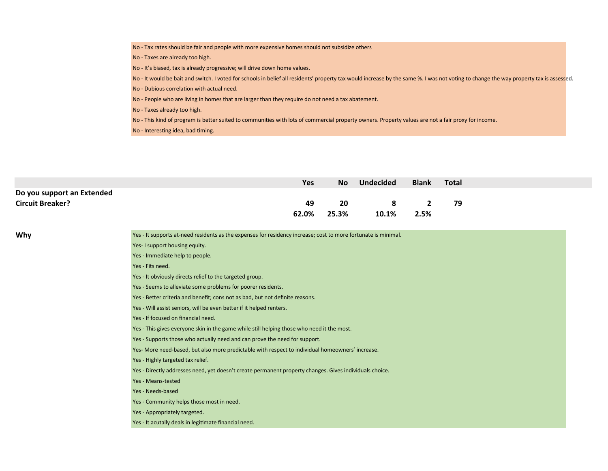- No Tax rates should be fair and people with more expensive homes should not subsidize others
- No Taxes are already too high.
- No It's biased, tax is already progressive; will drive down home values.
- No It would be bait and switch. I voted for schools in belief all residents' property tax would increase by the same %. I was not voting to change the way property tax is assessed.
- No Dubious correlation with actual need.
- No People who are living in homes that are larger than they require do not need a tax abatement.
- No Taxes already too high.
- No This kind of program is better suited to communities with lots of commercial property owners. Property values are not a fair proxy for income.
- No Interesting idea, bad timing.

| Yes | <b>No</b> | <b>Undecided</b> | <b>Blank</b> | Total          |  |
|-----|-----------|------------------|--------------|----------------|--|
|     |           |                  |              |                |  |
| 49  | <b>20</b> |                  |              | 79             |  |
|     |           | 10.1%            | 2.5%         |                |  |
|     |           | 62.0% 25.3%      |              | 8 <sup>2</sup> |  |

Why **Why Yes - It supports at-need residents as the expenses for residency increase; cost to more fortunate is minimal.** 

- Yes- I support housing equity.
- Yes Immediate help to people.
- Yes Fits need.
- Yes It obviously directs relief to the targeted group.
- Yes Seems to alleviate some problems for poorer residents.
- Yes Better criteria and benefit; cons not as bad, but not definite reasons.
- Yes Will assist seniors, will be even better if it helped renters.
- Yes If focused on financial need.
- Yes This gives everyone skin in the game while still helping those who need it the most.
- Yes Supports those who actually need and can prove the need for support.
- Yes- More need-based, but also more predictable with respect to individual homeowners' increase.
- Yes Highly targeted tax relief.
- Yes Directly addresses need, yet doesn't create permanent property changes. Gives individuals choice.
- Yes Means-tested
- Yes Needs-based
- Yes Community helps those most in need.
- Yes Appropriately targeted.
- Yes It acutally deals in legitimate financial need.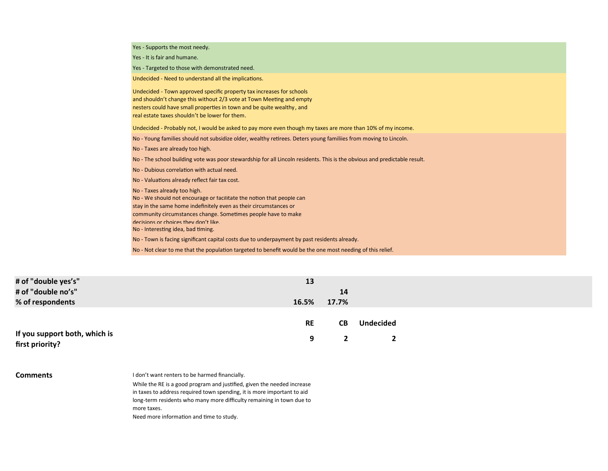Yes - Supports the most needy. Yes - It is fair and humane. Yes - Targeted to those with demonstrated need. Undecided - Need to understand all the implications. Undecided - Town approved specific property tax increases for schools and shouldn't change this without 2/3 vote at Town Meeting and empty nesters could have small properties in town and be quite wealthy, and real estate taxes shouldn't be lower for them. Undecided - Probably not, I would be asked to pay more even though my taxes are more than 10% of my income. No - Young families should not subsidize older, wealthy retirees. Deters young familiies from moving to Lincoln. No - Taxes are already too high. No - The school building vote was poor stewardship for all Lincoln residents. This is the obvious and predictable result. No - Dubious correlation with actual need. No - Valuations already reflect fair tax cost. No - Taxes already too high. No - We should not encourage or facilitate the notion that people can stay in the same home indefinitely even as their circumstances or community circumstances change. Sometimes people have to make decisions or choices they don't like. No - Interesting idea, bad timing. No - Town is facing significant capital costs due to underpayment by past residents already. No - Not clear to me that the population targeted to benefit would be the one most needing of this relief.

| # of "double yes's"           | 13        |       |                  |  |
|-------------------------------|-----------|-------|------------------|--|
| # of "double no's"            |           | 14    |                  |  |
| % of respondents              | 16.5%     | 17.7% |                  |  |
|                               |           |       |                  |  |
|                               | <b>RE</b> | CВ    | <b>Undecided</b> |  |
| If you support both, which is | q         |       |                  |  |
| first priority?               |           |       |                  |  |

| <b>Comments</b> |  |
|-----------------|--|
|-----------------|--|

I don't want renters to be harmed financially.

While the RE is a good program and justified, given the needed increase in taxes to address required town spending, it is more important to aid long-term residents who many more difficulty remaining in town due to more taxes.

Need more information and time to study.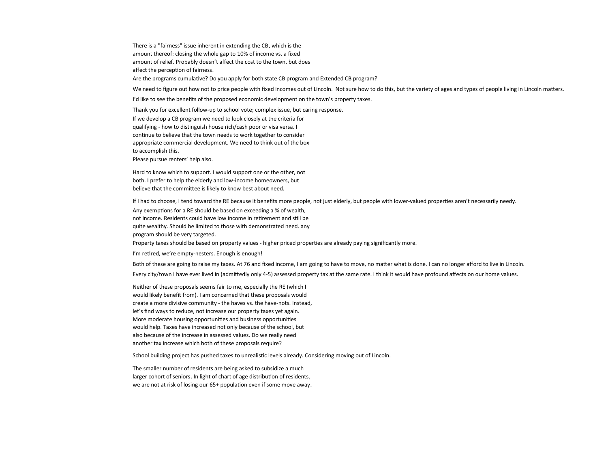There is a "fairness" issue inherent in extending the CB, which is the amount thereof: closing the whole gap to 10% of income vs. a fixed amount of relief. Probably doesn't affect the cost to the town, but does affect the perception of fairness.

Are the programs cumulative? Do you apply for both state CB program and Extended CB program?

We need to figure out how not to price people with fixed incomes out of Lincoln. Not sure how to do this, but the variety of ages and types of people living in Lincoln matters.

I'd like to see the benefits of the proposed economic development on the town's property taxes.

Thank you for excellent follow-up to school vote; complex issue, but caring response.

If we develop a CB program we need to look closely at the criteria for

qualifying - how to distinguish house rich/cash poor or visa versa. I

continue to believe that the town needs to work together to consider

appropriate commercial development. We need to think out of the box

to accomplish this.

Please pursue renters' help also.

Hard to know which to support. I would support one or the other, not both. I prefer to help the elderly and low-income homeowners, but believe that the committee is likely to know best about need.

If I had to choose, I tend toward the RE because it benefits more people, not just elderly, but people with lower-valued properties aren't necessarily needy. Any exemptions for a RE should be based on exceeding a % of wealth, not income. Residents could have low income in retirement and still be quite wealthy. Should be limited to those with demonstrated need. any program should be very targeted. Property taxes should be based on property values - higher priced properties are already paying significantly more.

I'm retired, we're empty-nesters. Enough is enough!

Both of these are going to raise my taxes. At 76 and fixed income, I am going to have to move, no matter what is done. I can no longer afford to live in Lincoln.

Every city/town I have ever lived in (admittedly only 4-5) assessed property tax at the same rate. I think it would have profound affects on our home values.

Neither of these proposals seems fair to me, especially the RE (which I would likely benefit from). I am concerned that these proposals would create a more divisive community - the haves vs. the have-nots. Instead, let's find ways to reduce, not increase our property taxes yet again. More moderate housing opportunities and business opportunities would help. Taxes have increased not only because of the school, but also because of the increase in assessed values. Do we really need another tax increase which both of these proposals require?

School building project has pushed taxes to unrealistic levels already. Considering moving out of Lincoln.

The smaller number of residents are being asked to subsidize a much larger cohort of seniors. In light of chart of age distribution of residents, we are not at risk of losing our 65+ population even if some move away.